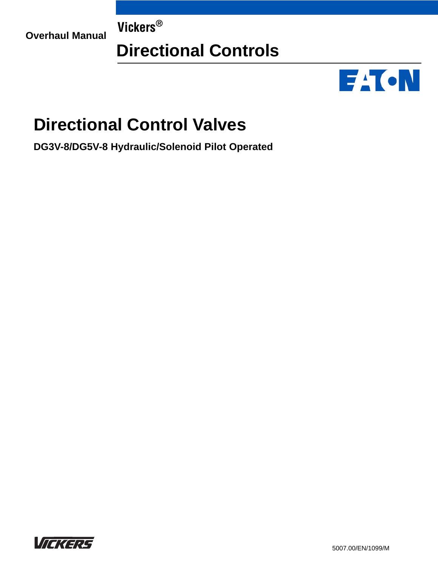**Overhaul Manual Vickers®**

# **Directional Controls**



# **Directional Control Valves**

**DG3V-8/DG5V-8 Hydraulic/Solenoid Pilot Operated**

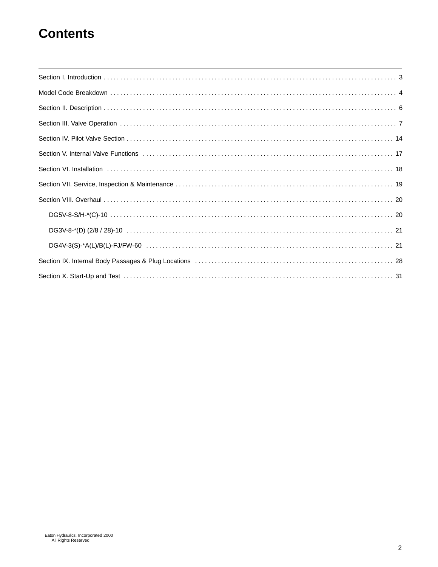## **Contents**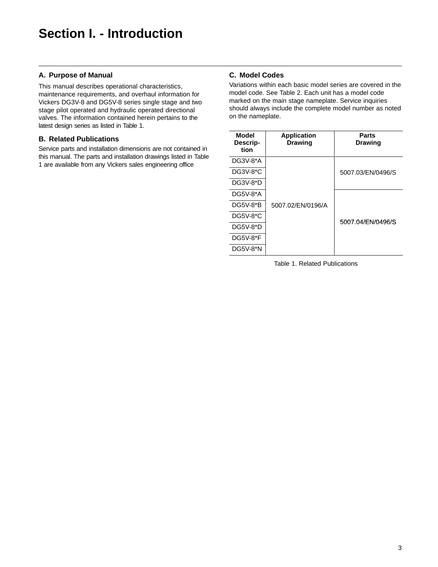### **A. Purpose of Manual**

This manual describes operational characteristics, maintenance requirements, and overhaul information for Vickers DG3V-8 and DG5V-8 series single stage and two stage pilot operated and hydraulic operated directional valves. The information contained herein pertains to the latest design series as listed in Table 1.

### **B. Related Publications**

Service parts and installation dimensions are not contained in this manual. The parts and installation drawings listed in Table 1 are available from any Vickers sales engineering office

### **C. Model Codes**

Variations within each basic model series are covered in the model code. See Table 2. Each unit has a model code marked on the main stage nameplate. Service inquiries should always include the complete model number as noted on the nameplate.

| Model<br>Descrip-<br>tion | <b>Application</b><br><b>Drawing</b> | Parts<br><b>Drawing</b> |  |
|---------------------------|--------------------------------------|-------------------------|--|
| DG3V-8*A                  |                                      |                         |  |
| DG3V-8*C                  |                                      | 5007.03/EN/0496/S       |  |
| DG3V-8*D                  |                                      |                         |  |
| DG5V-8*A                  |                                      |                         |  |
| <b>DG5V-8*B</b>           | 5007.02/FN/0196/A                    |                         |  |
| DG5V-8*C                  |                                      |                         |  |
| DG5V-8*D                  |                                      | 5007.04/EN/0496/S       |  |
| <b>DG5V-8*F</b>           |                                      |                         |  |
| DG5V-8*N                  |                                      |                         |  |

Table 1. Related Publications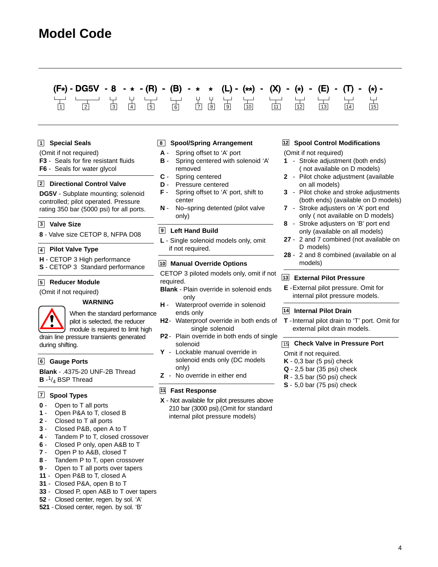## **Model Code**

#### $(F*)$  - DG5V - 8 (R)  $(B)$ (L) - (\*\*) -(E) 1 2 3 4 5 6 7 8 9 10 11 12 13 14 15

#### **Special Seals 1**

- (Omit if not required)
- **F3** Seals for fire resistant fluids
- **F6** Seals for water glycol

### **Directional Control Valve 2**

**DG5V** - Subplate mounting; solenoid controlled; pilot operated. Pressure rating 350 bar (5000 psi) for all ports.

#### **Valve Size 3**

**8** - Valve size CETOP 8, NFPA D08

#### **Pilot Valve Type 4**

- **H** CETOP 3 High performance
- **S** CETOP 3 Standard performance

#### **Reducer Module 5**

(Omit if not required)

#### **WARNING**

When the standard performance pilot is selected, the reducer module is required to limit high

drain line pressure transients generated during shifting.

#### **Gauge Ports 6**

**Blank** - .4375-20 UNF-2B Thread  $B - \frac{1}{4}$  BSP Thread

#### **Spool Types 7**

- **0** Open to T all ports
- **1** Open P&A to T, closed B
- **2** Closed to T all ports
- **3** Closed P&B, open A to T
- **4**  Tandem P to T, closed crossover
- **6** Closed P only, open A&B to T
- **7** Open P to A&B, closed T
- **8** Tandem P to T, open crossover
- **9** Open to T all ports over tapers
- **11** Open P&B to T, closed A
- **31** Closed P&A, open B to T
- **33** Closed P, open A&B to T over tapers
- **52**  Closed center, regen. by sol. 'A'
- **521**  Closed center, regen. by sol. 'B'

### **8 Spool/Spring Arrangement**

- **A** Spring offset to 'A' port
- **B** Spring centered with solenoid 'A' removed
- **C** Spring centered
- **D** Pressure centered
- **F** Spring offset to 'A' port, shift to center
- **N** No–spring detented (pilot valve only)

#### **Left Hand Build 9**

**L** - Single solenoid models only, omit if not required.

#### **Manual Override Options 10**

CETOP 3 piloted models only, omit if not required.

- **Blank**  Plain override in solenoid ends only
- **H** Waterproof override in solenoid ends only
- **H2** Waterproof override in both ends of single solenoid
- **P2** Plain override in both ends of single solenoid
- **Y** Lockable manual override in solenoid ends only (DC models only)
- **Z** No override in either end

#### **Fast Response 11**

**X** - Not available for pilot pressures above 210 bar (3000 psi).(Omit for standard internal pilot pressure models)

#### **Spool Control Modifications 12**

(Omit if not required)

- **1** Stroke adjustment (both ends) ( not available on D models)
- **2** Pilot choke adjustment (available on all models)
- **3** Pilot choke and stroke adjustments (both ends) (available on D models)
- **7** Stroke adjusters on 'A' port end only ( not available on D models)
- **8** Stroke adjusters on 'B' port end only (available on all models)
- **27**  2 and 7 combined (not available on D models)
- **28**  2 and 8 combined (available on al models)

#### **External Pilot Pressure 13**

**E** -External pilot pressure. Omit for internal pilot pressure models.

#### **Internal Pilot Drain 14**

**T** -Internal pilot drain to 'T' port. Omit for external pilot drain models.

#### **Check Valve in Pressure Port** 15

- Omit if not required.
- **K** 0,3 bar (5 psi) check
- **Q** 2,5 bar (35 psi) check
- **R** 3,5 bar (50 psi) check
- **S** 5,0 bar (75 psi) check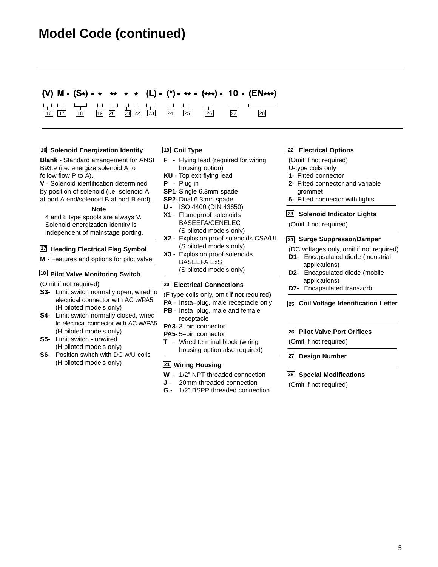## **Model Code (continued)**

### (V)  $M - (S*) - *$ (L) - (\*) - \*\* - (\*\*\*) - 10 - (EN\*\*\*)  $\begin{array}{cccccccccccccc} \downarrow\downarrow & \downarrow\downarrow & \downarrow\downarrow & \downarrow\downarrow & & \downarrow\downarrow & & \downarrow\downarrow & & \downarrow\downarrow \ 19 & 20 & 21 & 22 & 23 & 24 & 24 & 25 \end{array}$

### **16 Solenoid Energization Identity**

**Blank** - Standard arrangement for ANSI B93.9 (i.e. energize solenoid A to follow flow P to A).

**V** - Solenoid identification determined by position of solenoid (i.e. solenoid A at port A end/solenoid B at port B end).

#### **Note**

4 and 8 type spools are always V. Solenoid energization identity is independent of mainstage porting.

#### **17 Heading Electrical Flag Symbol**

**M** - Features and options for pilot valve.

#### **18 Pilot Valve Monitoring Switch**

(Omit if not required)

- **S3** Limit switch normally open, wired to electrical connector with AC w/PA5 (H piloted models only)
- **S4** Limit switch normally closed, wired to electrical connector with AC w//PA5 (H piloted models only)
- **S5** Limit switch unwired (H piloted models only)
- **S6** Position switch with DC w/U coils (H piloted models only)

#### **Coil Type 19**

- **F** Flying lead (required for wiring housing option)
- **KU** Top exit flying lead
- **P** Plug in
- **SP1** Single 6.3mm spade
- **SP2** Dual 6.3mm spade
- **U** ISO 4400 (DIN 43650)
- **X1** Flameproof solenoids BASEEFA/CENELEC (S piloted models only)
- **X2** Explosion proof solenoids CSA/UL (S piloted models only)
- **X3** Explosion proof solenoids BASEEFA ExS (S piloted models only)

#### **20 Electrical Connections**

- (F type coils only, omit if not required)
- **PA** Insta–plug, male receptacle only
- **PB** Insta–plug, male and female receptacle
- **PA3** 3–pin connector
- **PA5** 5–pin connector
- **T** Wired terminal block (wiring housing option also required)

#### **21 Wiring Housing**

- **W** 1/2" NPT threaded connection
- **J** 20mm threaded connection
- **G** 1/2" BSPP threaded connection

#### **Electrical Options 22**

(Omit if not required)

- U-type coils only
- **1** Fitted connector
- **2** Fitted connector and variable grommet
- **6** Fitted connector with lights
- **Solenoid Indicator Lights 23**

(Omit if not required)

#### **Surge Suppressor/Damper 24**

- (DC voltages only, omit if not required)
- **D1** Encapsulated diode (industrial applications)
- **D2** Encapsulated diode (mobile applications)
- **D7** Encapsulated transzorb

#### **Coil Voltage Identification Letter 25**

#### **Pilot Valve Port Orifices 26**

(Omit if not required)

#### **Design Number 27**

#### **28 Special Modifications**

(Omit if not required)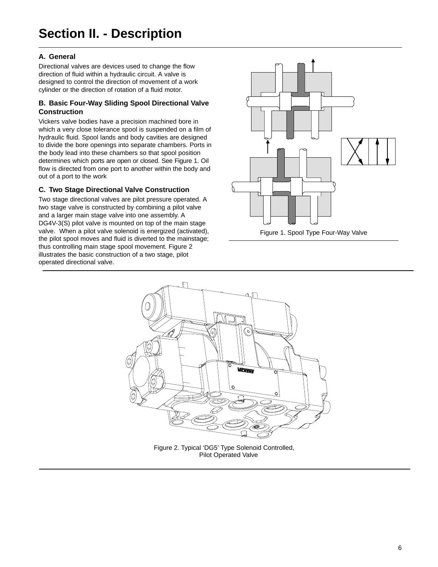## **Section II. - Description**

### **A. General**

Directional valves are devices used to change the flow direction of fluid within a hydraulic circuit. A valve is designed to control the direction of movement of a work cylinder or the direction of rotation of a fluid motor.

### **B. Basic Four-Way Sliding Spool Directional Valve Construction**

Vickers valve bodies have a precision machined bore in which a very close tolerance spool is suspended on a film of hydraulic fluid. Spool lands and body cavities are designed to divide the bore openings into separate chambers. Ports in the body lead into these chambers so that spool position determines which ports are open or closed. See Figure 1. Oil flow is directed from one port to another within the body and out of a port to the work

### **C. Two Stage Directional Valve Construction**

Two stage directional valves are pilot pressure operated. A two stage valve is constructed by combining a pilot valve and a larger main stage valve into one assembly. A DG4V-3(S) pilot valve is mounted on top of the main stage valve. When a pilot valve solenoid is energized (activated), the pilot spool moves and fluid is diverted to the mainstage; thus controlling main stage spool movement. Figure 2 illustrates the basic construction of a two stage, pilot operated directional valve.





Figure 2. Typical 'DG5' Type Solenoid Controlled, Pilot Operated Valve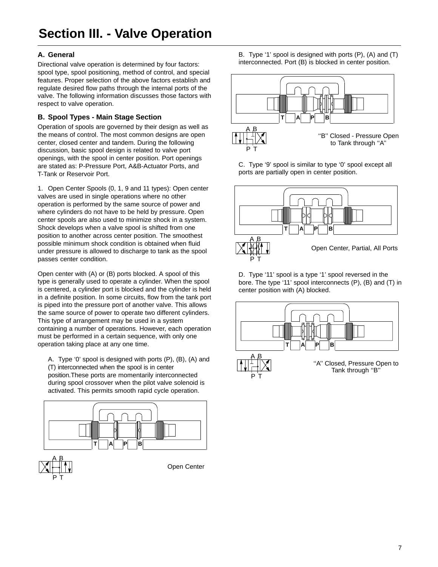### **A. General**

Directional valve operation is determined by four factors: spool type, spool positioning, method of control, and special features. Proper selection of the above factors establish and regulate desired flow paths through the internal ports of the valve. The following information discusses those factors with respect to valve operation.

### **B. Spool Types - Main Stage Section**

Operation of spools are governed by their design as well as the means of control. The most common designs are open center, closed center and tandem. During the following discussion, basic spool design is related to valve port openings, with the spool in center position. Port openings are stated as: P-Pressure Port, A&B-Actuator Ports, and T-Tank or Reservoir Port.

1. Open Center Spools (0, 1, 9 and 11 types): Open center valves are used in single operations where no other operation is performed by the same source of power and where cylinders do not have to be held by pressure. Open center spools are also used to minimize shock in a system. Shock develops when a valve spool is shifted from one position to another across center position. The smoothest possible minimum shock condition is obtained when fluid under pressure is allowed to discharge to tank as the spool passes center condition.

Open center with (A) or (B) ports blocked. A spool of this type is generally used to operate a cylinder. When the spool is centered, a cylinder port is blocked and the cylinder is held in a definite position. In some circuits, flow from the tank port is piped into the pressure port of another valve. This allows the same source of power to operate two different cylinders. This type of arrangement may be used in a system containing a number of operations. However, each operation must be performed in a certain sequence, with only one operation taking place at any one time.

A. Type '0' spool is designed with ports (P), (B), (A) and (T) interconnected when the spool is in center position.These ports are momentarily interconnected during spool crossover when the pilot valve solenoid is activated. This permits smooth rapid cycle operation.





Open Center

B. Type '1' spool is designed with ports (P), (A) and (T) interconnected. Port (B) is blocked in center position.



C. Type '9' spool is similar to type '0' spool except all ports are partially open in center position.



D. Type '11' spool is a type '1' spool reversed in the bore. The type '11' spool interconnects (P), (B) and (T) in center position with (A) blocked.

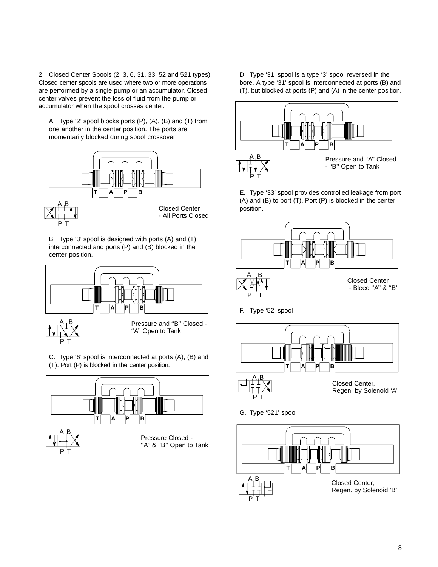2. Closed Center Spools (2, 3, 6, 31, 33, 52 and 521 types): Closed center spools are used where two or more operations are performed by a single pump or an accumulator. Closed center valves prevent the loss of fluid from the pump or accumulator when the spool crosses center.

A. Type '2' spool blocks ports (P), (A), (B) and (T) from one another in the center position. The ports are momentarily blocked during spool crossover.



B. Type '3' spool is designed with ports (A) and (T) interconnected and ports (P) and (B) blocked in the center position.





Pressure and ''B'' Closed - "A" Open to Tank

C. Type '6' spool is interconnected at ports (A), (B) and (T). Port (P) is blocked in the center position.



P T

"A" & "B" Open to Tank

D. Type '31' spool is a type '3' spool reversed in the bore. A type '31' spool is interconnected at ports (B) and (T), but blocked at ports (P) and (A) in the center position.



E. Type '33' spool provides controlled leakage from port (A) and (B) to port (T). Port (P) is blocked in the center position.



F. Type '52' spool



- Regen. by Solenoid 'A'
- G. Type '521' spool

P T

P T

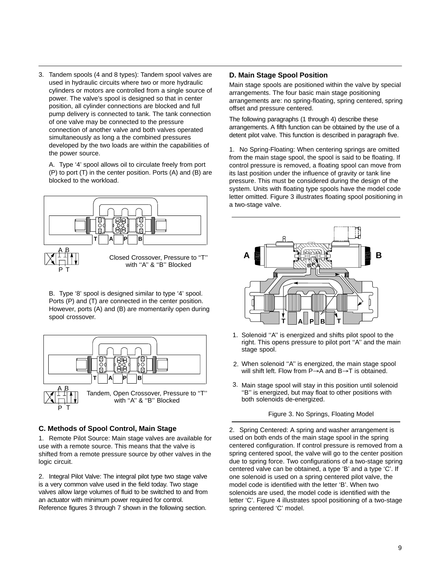3. Tandem spools (4 and 8 types): Tandem spool valves are used in hydraulic circuits where two or more hydraulic cylinders or motors are controlled from a single source of power. The valve's spool is designed so that in center position, all cylinder connections are blocked and full pump delivery is connected to tank. The tank connection of one valve may be connected to the pressure connection of another valve and both valves operated simultaneously as long a the combined pressures developed by the two loads are within the capabilities of the power source.

A. Type '4' spool allows oil to circulate freely from port (P) to port (T) in the center position. Ports (A) and (B) are blocked to the workload.



B. Type '8' spool is designed similar to type '4' spool. Ports (P) and (T) are connected in the center position. However, ports (A) and (B) are momentarily open during spool crossover.



### **C. Methods of Spool Control, Main Stage**

1. Remote Pilot Source: Main stage valves are available for use with a remote source. This means that the valve is shifted from a remote pressure source by other valves in the logic circuit.

2. Integral Pilot Valve: The integral pilot type two stage valve is a very common valve used in the field today. Two stage valves allow large volumes of fluid to be switched to and from an actuator with minimum power required for control. Reference figures 3 through 7 shown in the following section.

### **D. Main Stage Spool Position**

Main stage spools are positioned within the valve by special arrangements. The four basic main stage positioning arrangements are: no spring-floating, spring centered, spring offset and pressure centered.

The following paragraphs (1 through 4) describe these arrangements. A fifth function can be obtained by the use of a detent pilot valve. This function is described in paragraph five.

1. No Spring-Floating: When centering springs are omitted from the main stage spool, the spool is said to be floating. If control pressure is removed, a floating spool can move from its last position under the influence of gravity or tank line pressure. This must be considered during the design of the system. Units with floating type spools have the model code letter omitted. Figure 3 illustrates floating spool positioning in a two-stage valve.



- 1. Solenoid "A" is energized and shifts pilot spool to the right. This opens pressure to pilot port ''A'' and the main stage spool.
- When solenoid ''A'' is energized, the main stage spool 2. will shift left. Flow from  $P\rightarrow A$  and  $B\rightarrow T$  is obtained.
- Main stage spool will stay in this position until solenoid 3. ''B'' is energized, but may float to other positions with both solenoids de-energized.

Figure 3. No Springs, Floating Model

2. Spring Centered: A spring and washer arrangement is used on both ends of the main stage spool in the spring centered configuration. If control pressure is removed from a spring centered spool, the valve will go to the center position due to spring force. Two configurations of a two-stage spring centered valve can be obtained, a type 'B' and a type 'C'. If one solenoid is used on a spring centered pilot valve, the model code is identified with the letter 'B'. When two solenoids are used, the model code is identified with the letter 'C'. Figure 4 illustrates spool positioning of a two-stage spring centered 'C' model.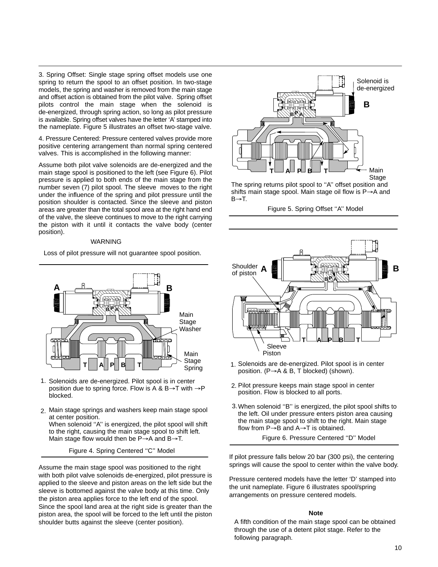3. Spring Offset: Single stage spring offset models use one spring to return the spool to an offset position. In two-stage models, the spring and washer is removed from the main stage and offset action is obtained from the pilot valve. Spring offset pilots control the main stage when the solenoid is de-energized, through spring action, so long as pilot pressure is available. Spring offset valves have the letter 'A' stamped into the nameplate. Figure 5 illustrates an offset two-stage valve.

4. Pressure Centered: Pressure centered valves provide more positive centering arrangement than normal spring centered valves. This is accomplished in the following manner:

Assume both pilot valve solenoids are de-energized and the main stage spool is positioned to the left (see Figure 6). Pilot pressure is applied to both ends of the main stage from the number seven (7) pilot spool. The sleeve moves to the right under the influence of the spring and pilot pressure until the position shoulder is contacted. Since the sleeve and piston areas are greater than the total spool area at the right hand end of the valve, the sleeve continues to move to the right carrying the piston with it until it contacts the valve body (center position).

#### WARNING

Loss of pilot pressure will not guarantee spool position.



- 1. Solenoids are de-energized. Pilot spool is in center position due to spring force. Flow is A & B $\rightarrow$ T with  $\rightarrow$ P blocked.
- Main stage springs and washers keep main stage spool 2. at center position.

When solenoid ''A'' is energized, the pilot spool will shift to the right, causing the main stage spool to shift left. Main stage flow would then be  $P\rightarrow A$  and  $B\rightarrow T$ .

Figure 4. Spring Centered ''C'' Model

Assume the main stage spool was positioned to the right with both pilot valve solenoids de-energized, pilot pressure is applied to the sleeve and piston areas on the left side but the sleeve is bottomed against the valve body at this time. Only the piston area applies force to the left end of the spool. Since the spool land area at the right side is greater than the piston area, the spool will be forced to the left until the piston shoulder butts against the sleeve (center position).



The spring returns pilot spool to "A" offset position and shifts main stage spool. Main stage oil flow is  $P\rightarrow A$  and  $B \rightarrow T$ .

Figure 5. Spring Offset ''A'' Model



- 1. Solenoids are de-energized. Pilot spool is in center position. ( $P \rightarrow A \& B$ , T blocked) (shown).
- 2. Pilot pressure keeps main stage spool in center position. Flow is blocked to all ports.
- When solenoid ''B'' is energized, the pilot spool shifts to 3. the left. Oil under pressure enters piston area causing the main stage spool to shift to the right. Main stage flow from  $P\rightarrow B$  and  $A\rightarrow T$  is obtained.

Figure 6. Pressure Centered ''D'' Model

If pilot pressure falls below 20 bar (300 psi), the centering springs will cause the spool to center within the valve body.

Pressure centered models have the letter 'D' stamped into the unit nameplate. Figure 6 illustrates spool/spring arrangements on pressure centered models.

#### **Note**

A fifth condition of the main stage spool can be obtained through the use of a detent pilot stage. Refer to the following paragraph.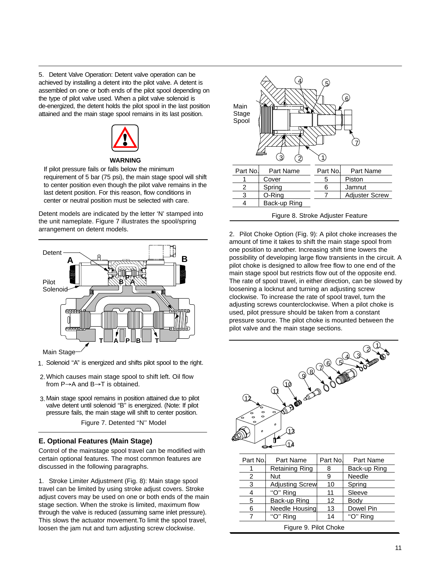5. Detent Valve Operation: Detent valve operation can be achieved by installing a detent into the pilot valve. A detent is assembled on one or both ends of the pilot spool depending on the type of pilot valve used. When a pilot valve solenoid is de-energized, the detent holds the pilot spool in the last position attained and the main stage spool remains in its last position.



#### **WARNING**

If pilot pressure fails or falls below the minimum requirement of 5 bar (75 psi), the main stage spool will shift to center position even though the pilot valve remains in the last detent position. For this reason, flow conditions in center or neutral position must be selected with care.

Detent models are indicated by the letter 'N' stamped into the unit nameplate. Figure 7 illustrates the spool/spring arrangement on detent models.



Main Stage<sup>®</sup>

- 1. Solenoid "A" is energized and shifts pilot spool to the right.
- Which causes main stage spool to shift left. Oil flow 2. from  $P\rightarrow A$  and  $B\rightarrow T$  is obtained.
- Main stage spool remains in position attained due to pilot 3. valve detent until solenoid "B" is energized. (Note: If pilot pressure fails, the main stage will shift to center position.

Figure 7. Detented ''N'' Model

### **E. Optional Features (Main Stage)**

Control of the mainstage spool travel can be modified with certain optional features. The most common features are discussed in the following paragraphs.

1. Stroke Limiter Adjustment (Fig. 8): Main stage spool travel can be limited by using stroke adjust covers. Stroke adjust covers may be used on one or both ends of the main stage section. When the stroke is limited, maximum flow through the valve is reduced (assuming same inlet pressure). This slows the actuator movement.To limit the spool travel, loosen the jam nut and turn adjusting screw clockwise.



2. Pilot Choke Option (Fig. 9): A pilot choke increases the amount of time it takes to shift the main stage spool from one position to another. Increasing shift time lowers the possibility of developing large flow transients in the circuit. A pilot choke is designed to allow free flow to one end of the main stage spool but restricts flow out of the opposite end. The rate of spool travel, in either direction, can be slowed by loosening a locknut and turning an adjusting screw clockwise. To increase the rate of spool travel, turn the adjusting screws counterclockwise. When a pilot choke is used, pilot pressure should be taken from a constant pressure source. The pilot choke is mounted between the pilot valve and the main stage sections.



| Part No. | Part Name             | Part No. | Part Name    |
|----------|-----------------------|----------|--------------|
|          | <b>Retaining Ring</b> |          | Back-up Ring |
| 2        | Nut                   | 9        | Needle       |
| 3        | Adjusting Screw       | 10       | Spring       |
|          | "O" Ring              | 11       | Sleeve       |
| 5        | Back-up Ring          | 12       | <b>Body</b>  |
| 6        | Needle Housing        | 13       | Dowel Pin    |
|          | "O" Ring              | 14       | "O" Ring     |

Figure 9. Pilot Choke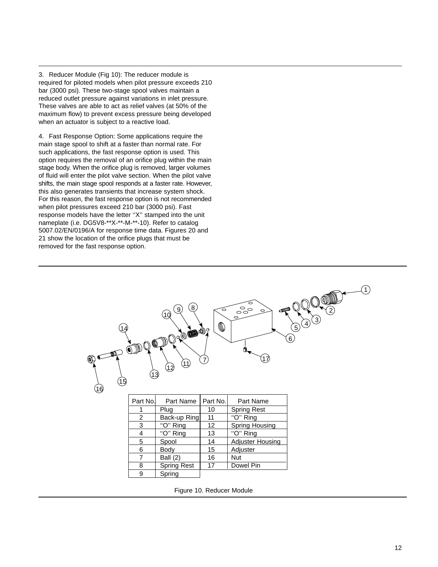3. Reducer Module (Fig 10): The reducer module is required for piloted models when pilot pressure exceeds 210 bar (3000 psi). These two-stage spool valves maintain a reduced outlet pressure against variations in inlet pressure. These valves are able to act as relief valves (at 50% of the maximum flow) to prevent excess pressure being developed when an actuator is subject to a reactive load.

4. Fast Response Option: Some applications require the main stage spool to shift at a faster than normal rate. For such applications, the fast response option is used. This option requires the removal of an orifice plug within the main stage body. When the orifice plug is removed, larger volumes of fluid will enter the pilot valve section. When the pilot valve shifts, the main stage spool responds at a faster rate. However, this also generates transients that increase system shock. For this reason, the fast response option is not recommended when pilot pressures exceed 210 bar (3000 psi). Fast response models have the letter ''X'' stamped into the unit nameplate (i.e. DG5V8-\*\*X-\*\*-M-\*\*-10). Refer to catalog 5007.02/EN/0196/A for response time data. Figures 20 and 21 show the location of the orifice plugs that must be removed for the fast response option.



Figure 10. Reducer Module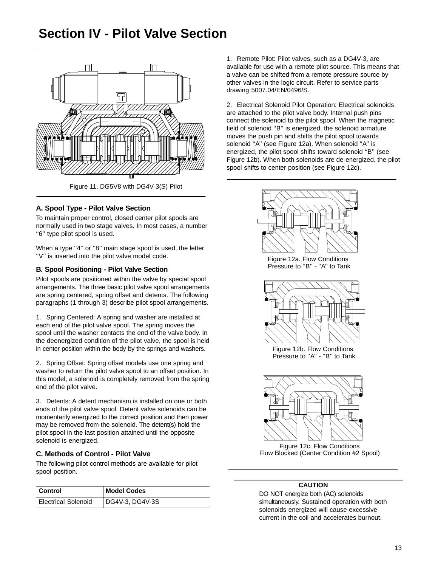## **Section IV - Pilot Valve Section**



### **A. Spool Type - Pilot Valve Section**

To maintain proper control, closed center pilot spools are normally used in two stage valves. In most cases, a number ''6'' type pilot spool is used.

When a type "4" or "8" main stage spool is used, the letter ''V'' is inserted into the pilot valve model code.

### **B. Spool Positioning - Pilot Valve Section**

Pilot spools are positioned within the valve by special spool arrangements. The three basic pilot valve spool arrangements are spring centered, spring offset and detents. The following paragraphs (1 through 3) describe pilot spool arrangements.

1. Spring Centered: A spring and washer are installed at each end of the pilot valve spool. The spring moves the spool until the washer contacts the end of the valve body. In the deenergized condition of the pilot valve, the spool is held in center position within the body by the springs and washers.

2. Spring Offset: Spring offset models use one spring and washer to return the pilot valve spool to an offset position. In this model, a solenoid is completely removed from the spring end of the pilot valve.

3. Detents: A detent mechanism is installed on one or both ends of the pilot valve spool. Detent valve solenoids can be momentarily energized to the correct position and then power may be removed from the solenoid. The detent(s) hold the pilot spool in the last position attained until the opposite solenoid is energized.

### **C. Methods of Control - Pilot Valve**

The following pilot control methods are available for pilot spool position.

| Control                    | <b>Model Codes</b> |
|----------------------------|--------------------|
| <b>Electrical Solenoid</b> | DG4V-3, DG4V-3S    |

1. Remote Pilot: Pilot valves, such as a DG4V-3, are available for use with a remote pilot source. This means that a valve can be shifted from a remote pressure source by other valves in the logic circuit. Refer to service parts drawing 5007.04/EN/0496/S.

2. Electrical Solenoid Pilot Operation: Electrical solenoids are attached to the pilot valve body. Internal push pins connect the solenoid to the pilot spool. When the magnetic field of solenoid ''B'' is energized, the solenoid armature moves the push pin and shifts the pilot spool towards solenoid "A" (see Figure 12a). When solenoid "A" is energized, the pilot spool shifts toward solenoid ''B'' (see Figure 12b). When both solenoids are de-energized, the pilot spool shifts to center position (see Figure 12c).



Figure 12c. Flow Conditions Flow Blocked (Center Condition #2 Spool)

### **CAUTION**

DO NOT energize both (AC) solenoids simultaneously. Sustained operation with both solenoids energized will cause excessive current in the coil and accelerates burnout.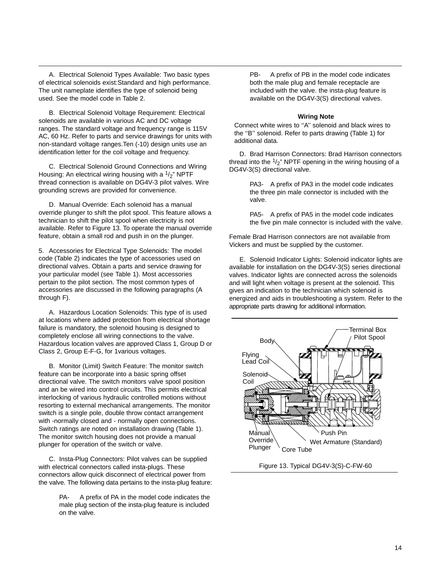A. Electrical Solenoid Types Available: Two basic types of electrical solenoids exist:Standard and high performance. The unit nameplate identifies the type of solenoid being used. See the model code in Table 2.

B. Electrical Solenoid Voltage Requirement: Electrical solenoids are available in various AC and DC voltage ranges. The standard voltage and frequency range is 115V AC, 60 Hz. Refer to parts and service drawings for units with non-standard voltage ranges.Ten (-10) design units use an identification letter for the coil voltage and frequency.

C. Electrical Solenoid Ground Connections and Wiring Housing: An electrical wiring housing with a  $1/2$ " NPTF thread connection is available on DG4V-3 pilot valves. Wire grounding screws are provided for convenience.

D. Manual Override: Each solenoid has a manual override plunger to shift the pilot spool. This feature allows a technician to shift the pilot spool when electricity is not available. Refer to Figure 13. To operate the manual override feature, obtain a small rod and push in on the plunger.

5. Accessories for Electrical Type Solenoids: The model code (Table 2) indicates the type of accessories used on directional valves. Obtain a parts and service drawing for your particular model (see Table 1). Most accessories pertain to the pilot section. The most common types of accessories are discussed in the following paragraphs (A through F).

A. Hazardous Location Solenoids: This type of is used at locations where added protection from electrical shortage failure is mandatory, the solenoid housing is designed to completely enclose all wiring connections to the valve. Hazardous location valves are approved Class 1, Group D or Class 2, Group E-F-G, for 1various voltages.

B. Monitor (Limit) Switch Feature: The monitor switch feature can be incorporate into a basic spring offset directional valve. The switch monitors valve spool position and an be wired into control circuits. This permits electrical interlocking of various hydraulic controlled motions without resorting to external mechanical arrangements. The monitor switch is a single pole, double throw contact arrangement with -normally closed and - normally open connections. Switch ratings are noted on installation drawing (Table 1). The monitor switch housing does not provide a manual plunger for operation of the switch or valve.

C. Insta-Plug Connectors: Pilot valves can be supplied with electrical connectors called insta-plugs. These connectors allow quick disconnect of electrical power from the valve. The following data pertains to the insta-plug feature:

> A prefix of PA in the model code indicates the male plug section of the insta-plug feature is included on the valve.

PB- A prefix of PB in the model code indicates both the male plug and female receptacle are included with the valve. the insta-plug feature is available on the DG4V-3(S) directional valves.

#### **Wiring Note**

Connect white wires to "A" solenoid and black wires to the ''B'' solenoid. Refer to parts drawing (Table 1) for additional data.

D. Brad Harrison Connectors: Brad Harrison connectors thread into the  $1/2$ " NPTF opening in the wiring housing of a DG4V-3(S) directional valve.

> PA3- A prefix of PA3 in the model code indicates the three pin male connector is included with the valve.

PA5- A prefix of PA5 in the model code indicates the five pin male connector is included with the valve.

Female Brad Harrison connectors are not available from Vickers and must be supplied by the customer.

E. Solenoid Indicator Lights: Solenoid indicator lights are available for installation on the DG4V-3(S) series directional valves. Indicator lights are connected across the solenoids and will light when voltage is present at the solenoid. This gives an indication to the technician which solenoid is energized and aids in troubleshooting a system. Refer to the appropriate parts drawing for additional information.



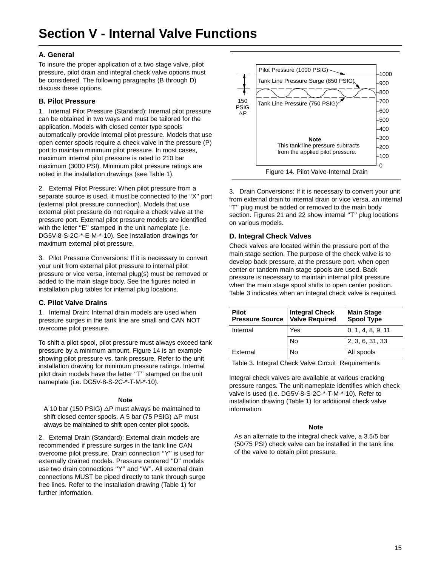### **A. General**

To insure the proper application of a two stage valve, pilot pressure, pilot drain and integral check valve options must be considered. The following paragraphs (B through D) discuss these options.

### **B. Pilot Pressure**

1. Internal Pilot Pressure (Standard): Internal pilot pressure can be obtained in two ways and must be tailored for the application. Models with closed center type spools automatically provide internal pilot pressure. Models that use open center spools require a check valve in the pressure (P) port to maintain minimum pilot pressure. In most cases, maximum internal pilot pressure is rated to 210 bar maximum (3000 PSI). Minimum pilot pressure ratings are noted in the installation drawings (see Table 1).

2. External Pilot Pressure: When pilot pressure from a separate source is used, it must be connected to the ''X'' port (external pilot pressure connection). Models that use external pilot pressure do not require a check valve at the pressure port. External pilot pressure models are identified with the letter "E" stamped in the unit nameplate (i.e. DG5V-8-S-2C-\*-E-M-\*-10). See installation drawings for maximum external pilot pressure.

3. Pilot Pressure Conversions: If it is necessary to convert your unit from external pilot pressure to internal pilot pressure or vice versa, internal plug(s) must be removed or added to the main stage body. See the figures noted in installation plug tables for internal plug locations.

### **C. Pilot Valve Drains**

1. Internal Drain: Internal drain models are used when pressure surges in the tank line are small and CAN NOT overcome pilot pressure.

To shift a pilot spool, pilot pressure must always exceed tank pressure by a minimum amount. Figure 14 is an example showing pilot pressure vs. tank pressure. Refer to the unit installation drawing for minimum pressure ratings. Internal pilot drain models have the letter "T" stamped on the unit nameplate (i.e. DG5V-8-S-2C-\*-T-M-\*-10).

### **Note**

A 10 bar (150 PSIG)  $\Delta$ P must always be maintained to shift closed center spools. A 5 bar (75 PSIG)  $\Delta$ P must always be maintained to shift open center pilot spools.

2. External Drain (Standard): External drain models are recommended if pressure surges in the tank line CAN overcome pilot pressure. Drain connection ''Y'' is used for externally drained models. Pressure centered ''D'' models use two drain connections "Y" and "W". All external drain connections MUST be piped directly to tank through surge free lines. Refer to the installation drawing (Table 1) for further information.



3. Drain Conversions: If it is necessary to convert your unit from external drain to internal drain or vice versa, an internal ''T'' plug must be added or removed to the main body section. Figures 21 and 22 show internal "T" plug locations on various models.

### **D. Integral Check Valves**

Check valves are located within the pressure port of the main stage section. The purpose of the check valve is to develop back pressure, at the pressure port, when open center or tandem main stage spools are used. Back pressure is necessary to maintain internal pilot pressure when the main stage spool shifts to open center position. Table 3 indicates when an integral check valve is required.

| Pilot<br><b>Pressure Source</b> | <b>Integral Check</b><br>Valve Required | <b>Main Stage</b><br><b>Spool Type</b> |
|---------------------------------|-----------------------------------------|----------------------------------------|
| Internal                        | Yes                                     | 0, 1, 4, 8, 9, 11                      |
|                                 | No                                      | 2, 3, 6, 31, 33                        |
| External                        | No                                      | All spools                             |

Table 3. Integral Check Valve Circuit Requirements

Integral check valves are available at various cracking pressure ranges. The unit nameplate identifies which check valve is used (i.e. DG5V-8-S-2C-\*-T-M-\*-10). Refer to installation drawing (Table 1) for additional check valve information.

### **Note**

As an alternate to the integral check valve, a 3.5/5 bar (50/75 PSI) check valve can be installed in the tank line of the valve to obtain pilot pressure.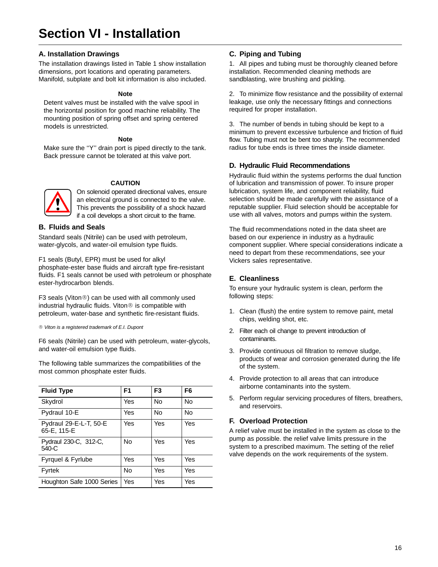## **Section VI - Installation**

### **A. Installation Drawings**

The installation drawings listed in Table 1 show installation dimensions, port locations and operating parameters. Manifold, subplate and bolt kit information is also included.

#### **Note**

Detent valves must be installed with the valve spool in the horizontal position for good machine reliability. The mounting position of spring offset and spring centered models is unrestricted.

#### **Note**

Make sure the ''Y'' drain port is piped directly to the tank. Back pressure cannot be tolerated at this valve port.

#### **CAUTION**



On solenoid operated directional valves, ensure an electrical ground is connected to the valve. This prevents the possibility of a shock hazard if a coil develops a short circuit to the frame.

### **B. Fluids and Seals**

Standard seals (Nitrile) can be used with petroleum, water-glycols, and water-oil emulsion type fluids.

F1 seals (Butyl, EPR) must be used for alkyl phosphate-ester base fluids and aircraft type fire-resistant fluids. F1 seals cannot be used with petroleum or phosphate ester-hydrocarbon blends.

F3 seals (Viton®) can be used with all commonly used industrial hydraulic fluids. Viton<sup>®</sup> is compatible with petroleum, water-base and synthetic fire-resistant fluids.

® Viton is a registered trademark of E.I. Dupont

F6 seals (Nitrile) can be used with petroleum, water-glycols, and water-oil emulsion type fluids.

The following table summarizes the compatibilities of the most common phosphate ester fluids.

| <b>Fluid Type</b>                     | F <sub>1</sub> | F <sub>3</sub> | F6        |
|---------------------------------------|----------------|----------------|-----------|
| Skydrol                               | Yes            | No             | <b>No</b> |
| Pydraul 10-E                          | Yes            | No             | No        |
| Pydraul 29-E-L-T, 50-E<br>65-E, 115-E | Yes            | Yes            | Yes       |
| Pydraul 230-C, 312-C,<br>$540-C$      | No             | Yes            | Yes       |
| Fyrquel & Fyrlube                     | Yes            | Yes            | Yes       |
| Fyrtek                                | No             | Yes            | Yes       |
| Houghton Safe 1000 Series             | Yes            | Yes            | Yes       |

### **C. Piping and Tubing**

1. All pipes and tubing must be thoroughly cleaned before installation. Recommended cleaning methods are sandblasting, wire brushing and pickling.

2. To minimize flow resistance and the possibility of external leakage, use only the necessary fittings and connections required for proper installation.

3. The number of bends in tubing should be kept to a minimum to prevent excessive turbulence and friction of fluid flow. Tubing must not be bent too sharply. The recommended radius for tube ends is three times the inside diameter.

### **D. Hydraulic Fluid Recommendations**

Hydraulic fluid within the systems performs the dual function of lubrication and transmission of power. To insure proper lubrication, system life, and component reliability, fluid selection should be made carefully with the assistance of a reputable supplier. Fluid selection should be acceptable for use with all valves, motors and pumps within the system.

The fluid recommendations noted in the data sheet are based on our experience in industry as a hydraulic component supplier. Where special considerations indicate a need to depart from these recommendations, see your Vickers sales representative.

### **E. Cleanliness**

To ensure your hydraulic system is clean, perform the following steps:

- 1. Clean (flush) the entire system to remove paint, metal chips, welding shot, etc.
- 2. Filter each oil change to prevent introduction of contaminants.
- 3. Provide continuous oil filtration to remove sludge, products of wear and corrosion generated during the life of the system.
- 4. Provide protection to all areas that can introduce airborne contaminants into the system.
- 5. Perform regular servicing procedures of filters, breathers, and reservoirs.

### **F. Overload Protection**

A relief valve must be installed in the system as close to the pump as possible. the relief valve limits pressure in the system to a prescribed maximum. The setting of the relief valve depends on the work requirements of the system.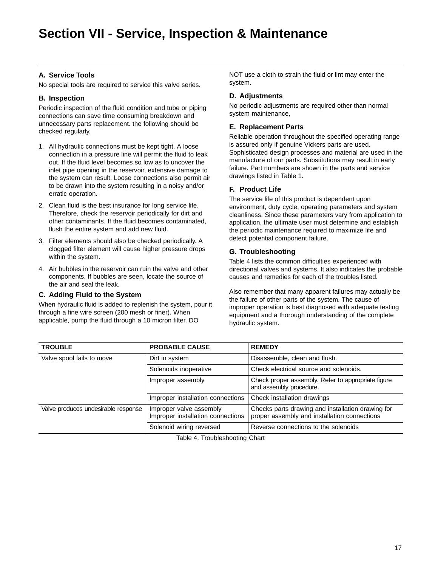## **Section VII - Service, Inspection & Maintenance**

### **A. Service Tools**

No special tools are required to service this valve series.

### **B. Inspection**

Periodic inspection of the fluid condition and tube or piping connections can save time consuming breakdown and unnecessary parts replacement. the following should be checked regularly.

- 1. All hydraulic connections must be kept tight. A loose connection in a pressure line will permit the fluid to leak out. If the fluid level becomes so low as to uncover the inlet pipe opening in the reservoir, extensive damage to the system can result. Loose connections also permit air to be drawn into the system resulting in a noisy and/or erratic operation.
- 2. Clean fluid is the best insurance for long service life. Therefore, check the reservoir periodically for dirt and other contaminants. If the fluid becomes contaminated, flush the entire system and add new fluid.
- 3. Filter elements should also be checked periodically. A clogged filter element will cause higher pressure drops within the system.
- 4. Air bubbles in the reservoir can ruin the valve and other components. If bubbles are seen, locate the source of the air and seal the leak.

### **C. Adding Fluid to the System**

When hydraulic fluid is added to replenish the system, pour it through a fine wire screen (200 mesh or finer). When applicable, pump the fluid through a 10 micron filter. DO

NOT use a cloth to strain the fluid or lint may enter the system.

### **D. Adjustments**

No periodic adjustments are required other than normal system maintenance,

### **E. Replacement Parts**

Reliable operation throughout the specified operating range is assured only if genuine Vickers parts are used. Sophisticated design processes and material are used in the manufacture of our parts. Substitutions may result in early failure. Part numbers are shown in the parts and service drawings listed in Table 1.

### **F. Product Life**

The service life of this product is dependent upon environment, duty cycle, operating parameters and system cleanliness. Since these parameters vary from application to application, the ultimate user must determine and establish the periodic maintenance required to maximize life and detect potential component failure.

### **G. Troubleshooting**

Table 4 lists the common difficulties experienced with directional valves and systems. It also indicates the probable causes and remedies for each of the troubles listed.

Also remember that many apparent failures may actually be the failure of other parts of the system. The cause of improper operation is best diagnosed with adequate testing equipment and a thorough understanding of the complete hydraulic system.

| <b>TROUBLE</b>                      | <b>PROBABLE CAUSE</b>                                        | <b>REMEDY</b>                                                                                     |
|-------------------------------------|--------------------------------------------------------------|---------------------------------------------------------------------------------------------------|
| Valve spool fails to move           | Dirt in system                                               | Disassemble, clean and flush.                                                                     |
|                                     | Solenoids inoperative                                        | Check electrical source and solenoids.                                                            |
|                                     | Improper assembly                                            | Check proper assembly. Refer to appropriate figure<br>and assembly procedure.                     |
|                                     | Improper installation connections                            | Check installation drawings                                                                       |
| Valve produces undesirable response | Improper valve assembly<br>Improper installation connections | Checks parts drawing and installation drawing for<br>proper assembly and installation connections |
|                                     | Solenoid wiring reversed                                     | Reverse connections to the solenoids                                                              |

Table 4. Troubleshooting Chart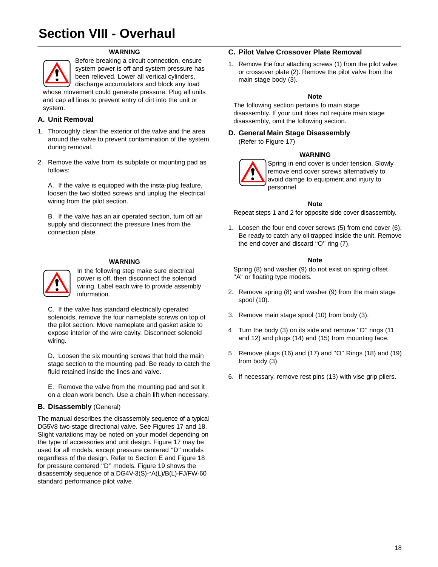## **Section VIII - Overhaul**

#### **WARNING**



Before breaking a circuit connection, ensure system power is off and system pressure has been relieved. Lower all vertical cylinders, discharge accumulators and block any load whose movement could generate pressure. Plug all units

and cap all lines to prevent entry of dirt into the unit or system.

### **A. Unit Removal**

- 1. Thoroughly clean the exterior of the valve and the area around the valve to prevent contamination of the system during removal.
- 2. Remove the valve from its subplate or mounting pad as follows:

A. If the valve is equipped with the insta-plug feature, loosen the two slotted screws and unplug the electrical wiring from the pilot section.

B. If the valve has an air operated section, turn off air supply and disconnect the pressure lines from the connection plate.

#### **WARNING**



In the following step make sure electrical power is off, then disconnect the solenoid wiring. Label each wire to provide assembly information.

C. If the valve has standard electrically operated solenoids, remove the four nameplate screws on top of the pilot section. Move nameplate and gasket aside to expose interior of the wire cavity. Disconnect solenoid wiring.

D. Loosen the six mounting screws that hold the main stage section to the mounting pad. Be ready to catch the fluid retained inside the lines and valve.

E. Remove the valve from the mounting pad and set it on a clean work bench. Use a chain lift when necessary.

### **B. Disassembly** (General)

The manual describes the disassembly sequence of a typical DG5V8 two-stage directional valve. See Figures 17 and 18. Slight variations may be noted on your model depending on the type of accessories and unit design. Figure 17 may be used for all models, except pressure centered ''D'' models regardless of the design. Refer to Section E and Figure 18 for pressure centered ''D'' models. Figure 19 shows the disassembly sequence of a DG4V-3(S)-\*A(L)/B(L)-FJ/FW-60 standard performance pilot valve.

### **C. Pilot Valve Crossover Plate Removal**

1. Remove the four attaching screws (1) from the pilot valve or crossover plate (2). Remove the pilot valve from the main stage body (3).

#### **Note**

The following section pertains to main stage disassembly. If your unit does not require main stage disassembly, omit the following section.

### **D. General Main Stage Disassembly**

(Refer to Figure 17)

#### **WARNING**



Spring in end cover is under tension. Slowly remove end cover screws alternatively to avoid damge to equipment and injury to personnel

#### **Note**

Repeat steps 1 and 2 for opposite side cover disassembly.

1. Loosen the four end cover screws (5) from end cover (6). Be ready to catch any oil trapped inside the unit. Remove the end cover and discard ''O'' ring (7).

#### **Note**

Spring (8) and washer (9) do not exist on spring offset ''A'' or floating type models.

- 2. Remove spring (8) and washer (9) from the main stage spool (10).
- 3. Remove main stage spool (10) from body (3).
- 4 Turn the body (3) on its side and remove ''O'' rings (11 and 12) and plugs (14) and (15) from mounting face.
- 5 Remove plugs (16) and (17) and ''O'' Rings (18) and (19) from body (3).
- 6. If necessary, remove rest pins (13) with vise grip pliers.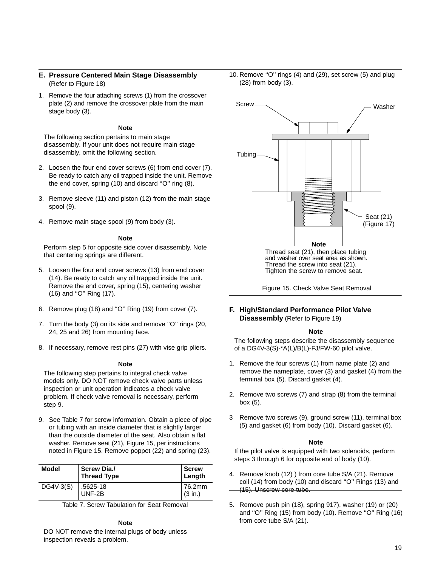- **E. Pressure Centered Main Stage Disassembly**  (Refer to Figure 18)
- 1. Remove the four attaching screws (1) from the crossover plate (2) and remove the crossover plate from the main stage body (3).

#### **Note**

The following section pertains to main stage disassembly. If your unit does not require main stage disassembly, omit the following section.

- 2. Loosen the four end cover screws (6) from end cover (7). Be ready to catch any oil trapped inside the unit. Remove the end cover, spring (10) and discard ''O'' ring (8).
- 3. Remove sleeve (11) and piston (12) from the main stage spool (9).
- 4. Remove main stage spool (9) from body (3).

#### **Note**

Perform step 5 for opposite side cover disassembly. Note that centering springs are different.

- 5. Loosen the four end cover screws (13) from end cover (14). Be ready to catch any oil trapped inside the unit. Remove the end cover, spring (15), centering washer (16) and ''O'' Ring (17).
- 6. Remove plug (18) and ''O'' Ring (19) from cover (7).
- 7. Turn the body (3) on its side and remove ''O'' rings (20, 24, 25 and 26) from mounting face.
- 8. If necessary, remove rest pins (27) with vise grip pliers.

#### **Note**

The following step pertains to integral check valve models only. DO NOT remove check valve parts unless inspection or unit operation indicates a check valve problem. If check valve removal is necessary, perform step 9.

9. See Table 7 for screw information. Obtain a piece of pipe or tubing with an inside diameter that is slightly larger than the outside diameter of the seat. Also obtain a flat washer. Remove seat (21), Figure 15, per instructions noted in Figure 15. Remove poppet (22) and spring (23).

| Model     | <b>Screw Dia./</b><br><b>Thread Type</b> | <b>Screw</b><br>Length |
|-----------|------------------------------------------|------------------------|
| DG4V-3(S) | .5625-18<br>UNF-2B                       | 76.2mm<br>(3 in.)      |

Table 7. Screw Tabulation for Seat Removal

#### **Note**

DO NOT remove the internal plugs of body unless inspection reveals a problem.

10. Remove ''O'' rings (4) and (29), set screw (5) and plug (28) from body (3).



Figure 15. Check Valve Seat Removal

#### **F. High/Standard Performance Pilot Valve Disassembly** (Refer to Figure 19)

#### **Note**

The following steps describe the disassembly sequence of a DG4V-3(S)-\*A(L)/B(L)-FJ/FW-60 pilot valve.

- 1. Remove the four screws (1) from name plate (2) and remove the nameplate, cover (3) and gasket (4) from the terminal box (5). Discard gasket (4).
- 2. Remove two screws (7) and strap (8) from the terminal box (5).
- 3 Remove two screws (9), ground screw (11), terminal box (5) and gasket (6) from body (10). Discard gasket (6).

#### **Note**

If the pilot valve is equipped with two solenoids, perform steps 3 through 6 for opposite end of body (10).

- 4. Remove knob (12) ) from core tube S/A (21). Remove coil (14) from body (10) and discard ''O'' Rings (13) and (15). Unscrew core tube.
- 5. Remove push pin (18), spring 917), washer (19) or (20) and "O" Ring (15) from body (10). Remove "O" Ring (16) from core tube S/A (21).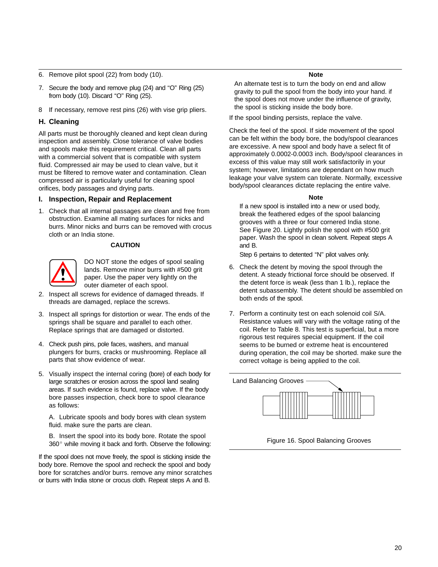- 6. Remove pilot spool (22) from body (10).
- 7. Secure the body and remove plug (24) and ''O'' Ring (25) from body (10). Discard "O" Ring (25).
- 8 If necessary, remove rest pins (26) with vise grip pliers.

### **H. Cleaning**

All parts must be thoroughly cleaned and kept clean during inspection and assembly. Close tolerance of valve bodies and spools make this requirement critical. Clean all parts with a commercial solvent that is compatible with system fluid. Compressed air may be used to clean valve, but it must be filtered to remove water and contamination. Clean compressed air is particularly useful for cleaning spool orifices, body passages and drying parts.

### **I. Inspection, Repair and Replacement**

1. Check that all internal passages are clean and free from obstruction. Examine all mating surfaces for nicks and burrs. Minor nicks and burrs can be removed with crocus cloth or an India stone.

#### **CAUTION**



DO NOT stone the edges of spool sealing lands. Remove minor burrs with #500 grit paper. Use the paper very lightly on the outer diameter of each spool.

- 2. Inspect all screws for evidence of damaged threads. If threads are damaged, replace the screws.
- 3. Inspect all springs for distortion or wear. The ends of the springs shall be square and parallel to each other. Replace springs that are damaged or distorted.
- 4. Check push pins, pole faces, washers, and manual plungers for burrs, cracks or mushrooming. Replace all parts that show evidence of wear.
- 5. Visually inspect the internal coring (bore) of each body for large scratches or erosion across the spool land sealing areas. If such evidence is found, replace valve. If the body bore passes inspection, check bore to spool clearance as follows:

A. Lubricate spools and body bores with clean system fluid. make sure the parts are clean.

B. Insert the spool into its body bore. Rotate the spool 360° while moving it back and forth. Observe the following:

If the spool does not move freely, the spool is sticking inside the body bore. Remove the spool and recheck the spool and body bore for scratches and/or burrs. remove any minor scratches or burrs with India stone or crocus cloth. Repeat steps A and B.

#### **Note**

An alternate test is to turn the body on end and allow gravity to pull the spool from the body into your hand. if the spool does not move under the influence of gravity, the spool is sticking inside the body bore.

If the spool binding persists, replace the valve.

Check the feel of the spool. If side movement of the spool can be felt within the body bore, the body/spool clearances are excessive. A new spool and body have a select fit of approximately 0.0002-0.0003 inch. Body/spool clearances in excess of this value may still work satisfactorily in your system; however, limitations are dependant on how much leakage your valve system can tolerate. Normally, excessive body/spool clearances dictate replacing the entire valve.

#### **Note**

If a new spool is installed into a new or used body, break the feathered edges of the spool balancing grooves with a three or four cornered India stone. See Figure 20. Lightly polish the spool with #500 grit paper. Wash the spool in clean solvent. Repeat steps A and B.

Step 6 pertains to detented ''N'' pilot valves only.

- 6. Check the detent by moving the spool through the detent. A steady frictional force should be observed. If the detent force is weak (less than 1 lb.), replace the detent subassembly. The detent should be assembled on both ends of the spool.
- 7. Perform a continuity test on each solenoid coil S/A. Resistance values will vary with the voltage rating of the coil. Refer to Table 8. This test is superficial, but a more rigorous test requires special equipment. If the coil seems to be burned or extreme heat is encountered during operation, the coil may be shorted. make sure the correct voltage is being applied to the coil.



Figure 16. Spool Balancing Grooves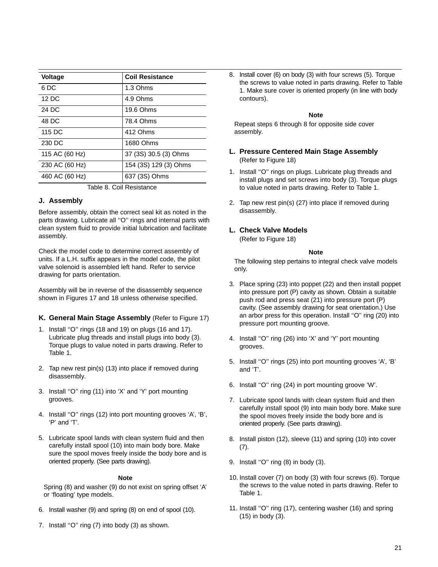| <b>Voltage</b>           | <b>Coil Resistance</b> |  |  |  |
|--------------------------|------------------------|--|--|--|
| 6 DC                     | 1.3 Ohms               |  |  |  |
| 12 DC                    | 4.9 Ohms               |  |  |  |
| 24 DC                    | 19.6 Ohms              |  |  |  |
| 48 DC                    | 78.4 Ohms              |  |  |  |
| 115 DC                   | 412 Ohms               |  |  |  |
| 230 DC                   | 1680 Ohms              |  |  |  |
| 115 AC (60 Hz)           | 37 (3S) 30.5 (3) Ohms  |  |  |  |
| 230 AC (60 Hz)           | 154 (3S) 129 (3) Ohms  |  |  |  |
| 460 AC (60 Hz)           | 637 (3S) Ohms          |  |  |  |
| Table 0. Cail Desistance |                        |  |  |  |

#### Table 8. Coil Resistance

### **J. Assembly**

Before assembly, obtain the correct seal kit as noted in the parts drawing. Lubricate all "O" rings and internal parts with clean system fluid to provide initial lubrication and facilitate assembly.

Check the model code to determine correct assembly of units. If a L.H. suffix appears in the model code, the pilot valve solenoid is assembled left hand. Refer to service drawing for parts orientation.

Assembly will be in reverse of the disassembly sequence shown in Figures 17 and 18 unless otherwise specified.

#### **K. General Main Stage Assembly** (Refer to Figure 17)

- 1. Install ''O'' rings (18 and 19) on plugs (16 and 17). Lubricate plug threads and install plugs into body (3). Torque plugs to value noted in parts drawing. Refer to Table 1.
- 2. Tap new rest pin(s) (13) into place if removed during disassembly.
- 3. Install ''O'' ring (11) into 'X' and 'Y' port mounting grooves.
- 4. Install ''O'' rings (12) into port mounting grooves 'A', 'B', 'P' and 'T'.
- 5. Lubricate spool lands with clean system fluid and then carefully install spool (10) into main body bore. Make sure the spool moves freely inside the body bore and is oriented properly. (See parts drawing).

#### **Note**

Spring (8) and washer (9) do not exist on spring offset 'A' or 'floating' type models.

- 6. Install washer (9) and spring (8) on end of spool (10).
- 7. Install "O" ring (7) into body (3) as shown.

8. Install cover (6) on body (3) with four screws (5). Torque the screws to value noted in parts drawing. Refer to Table 1. Make sure cover is oriented properly (in line with body contours).

#### **Note**

Repeat steps 6 through 8 for opposite side cover assembly.

- **L. Pressure Centered Main Stage Assembly** (Refer to Figure 18)
- 1. Install ''O'' rings on plugs. Lubricate plug threads and install plugs and set screws into body (3). Torque plugs to value noted in parts drawing. Refer to Table 1.
- 2. Tap new rest pin(s) (27) into place if removed during disassembly.

### **L. Check Valve Models**

(Refer to Figure 18)

#### **Note**

The following step pertains to integral check valve models only.

- 3. Place spring (23) into poppet (22) and then install poppet into pressure port (P) cavity as shown. Obtain a suitable push rod and press seat (21) into pressure port (P) cavity. (See assembly drawing for seat orientation.) Use an arbor press for this operation. Install ''O'' ring (20) into pressure port mounting groove.
- 4. Install ''O'' ring (26) into 'X' and 'Y' port mounting grooves.
- 5. Install ''O'' rings (25) into port mounting grooves 'A', 'B' and 'T'.
- 6. Install ''O'' ring (24) in port mounting groove 'W'.
- 7. Lubricate spool lands with clean system fluid and then carefully install spool (9) into main body bore. Make sure the spool moves freely inside the body bore and is oriented properly. (See parts drawing).
- 8. Install piston (12), sleeve (11) and spring (10) into cover (7).
- 9. Install ''O'' ring (8) in body (3).
- 10. Install cover (7) on body (3) with four screws (6). Torque the screws to the value noted in parts drawing. Refer to Table 1.
- 11. Install ''O'' ring (17), centering washer (16) and spring (15) in body (3).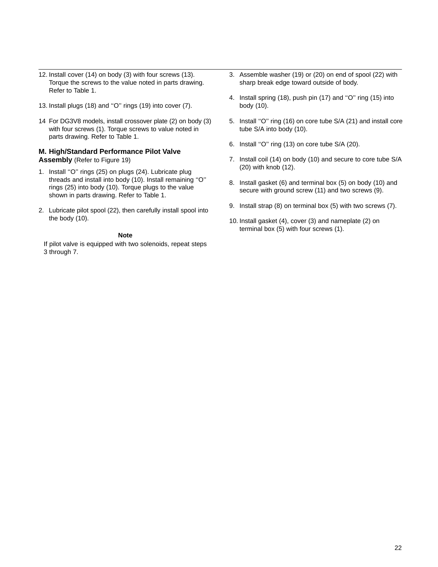- 12. Install cover (14) on body (3) with four screws (13). Torque the screws to the value noted in parts drawing. Refer to Table 1.
- 13. Install plugs (18) and ''O'' rings (19) into cover (7).
- 14 For DG3V8 models, install crossover plate (2) on body (3) with four screws (1). Torque screws to value noted in parts drawing. Refer to Table 1.

### **M. High/Standard Performance Pilot Valve Assembly** (Refer to Figure 19)

- 1. Install ''O'' rings (25) on plugs (24). Lubricate plug threads and install into body (10). Install remaining ''O'' rings (25) into body (10). Torque plugs to the value shown in parts drawing. Refer to Table 1.
- 2. Lubricate pilot spool (22), then carefully install spool into the body (10).

#### **Note**

If pilot valve is equipped with two solenoids, repeat steps 3 through 7.

- 3. Assemble washer (19) or (20) on end of spool (22) with sharp break edge toward outside of body.
- 4. Install spring (18), push pin (17) and ''O'' ring (15) into body (10).
- 5. Install ''O'' ring (16) on core tube S/A (21) and install core tube S/A into body (10).
- 6. Install ''O'' ring (13) on core tube S/A (20).
- 7. Install coil (14) on body (10) and secure to core tube S/A (20) with knob (12).
- 8. Install gasket (6) and terminal box (5) on body (10) and secure with ground screw (11) and two screws (9).
- 9. Install strap (8) on terminal box (5) with two screws (7).
- 10. Install gasket (4), cover (3) and nameplate (2) on terminal box (5) with four screws (1).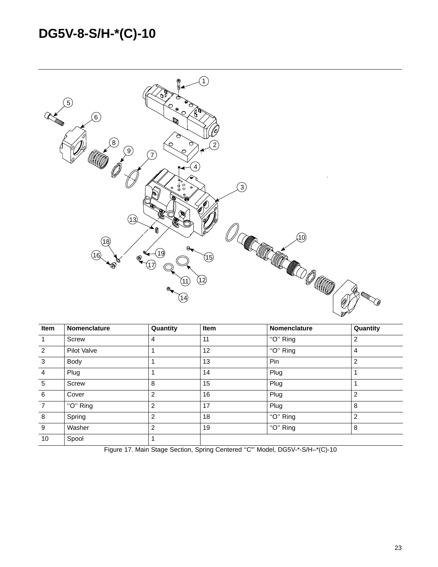## **DG5V-8-S/H-\*(C)-10**



| Item           | <b>Nomenclature</b> | Quantity | Item | <b>Nomenclature</b> | Quantity       |
|----------------|---------------------|----------|------|---------------------|----------------|
| $\mathbf{1}$   | <b>Screw</b>        | 4        | 11   | " $O$ " Ring        | $\overline{2}$ |
| 2              | Pilot Valve         |          | 12   | "O" Ring            | 4              |
| $\mathbf{3}$   | Body                |          | 13   | Pin                 | $\overline{2}$ |
| $\overline{4}$ | Plug                |          | 14   | Plug                |                |
| 5              | Screw               | 8        | 15   | Plug                |                |
| 6              | Cover               | 2        | 16   | Plug                | $\overline{2}$ |
| $\overline{7}$ | "O" Ring            | 2        | 17   | Plug                | 8              |
| 8              | Spring              | 2        | 18   | "O" Ring            | $\overline{2}$ |
| 9              | Washer              | 2        | 19   | "O" Ring            | 8              |
| 10             | Spool               |          |      |                     |                |

Figure 17. Main Stage Section, Spring Centered "C" Model, DG5V-\*-S/H-\*(C)-10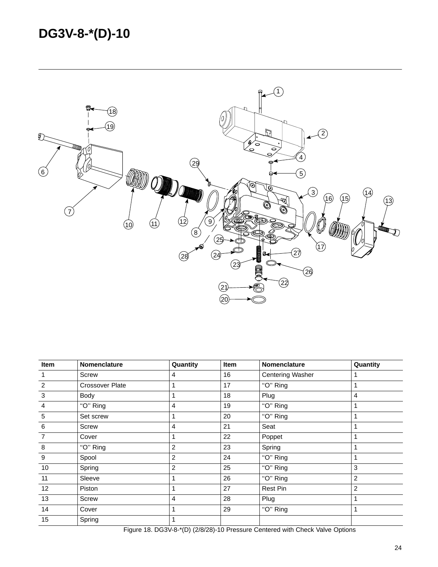## **DG3V-8-\*(D)-10**



| Item           | Nomenclature           | Quantity       | Item | Nomenclature            | Quantity       |
|----------------|------------------------|----------------|------|-------------------------|----------------|
| 1              | Screw                  | 4              | 16   | <b>Centering Washer</b> |                |
| $\overline{2}$ | <b>Crossover Plate</b> |                | 17   | "O" Ring                | 1              |
| 3              | Body                   |                | 18   | Plug                    | 4              |
| $\overline{4}$ | "O" Ring               | 4              | 19   | "O" Ring                |                |
| 5              | Set screw              |                | 20   | "O" Ring                | 1              |
| 6              | Screw                  | 4              | 21   | Seat                    | 1              |
| $\overline{7}$ | Cover                  |                | 22   | Poppet                  |                |
| 8              | "O" Ring               | $\overline{2}$ | 23   | Spring                  | 1              |
| 9              | Spool                  | 2              | 24   | "O" Ring                |                |
| 10             | Spring                 | 2              | 25   | "O" Ring                | 3              |
| 11             | Sleeve                 |                | 26   | "O" Ring                | 2              |
| 12             | Piston                 |                | 27   | Rest Pin                | $\overline{2}$ |
| 13             | Screw                  | 4              | 28   | Plug                    | 1              |
| 14             | Cover                  |                | 29   | "O" Ring                | 1              |
| 15             | Spring                 |                |      |                         |                |

Figure 18. DG3V-8-\*(D) (2/8/28)-10 Pressure Centered with Check Valve Options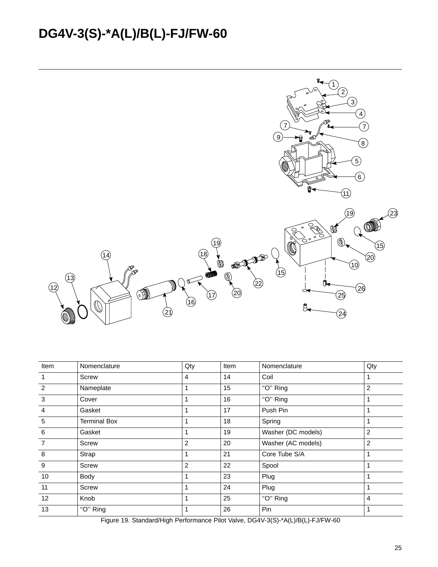## **DG4V-3(S)-\*A(L)/B(L)-FJ/FW-60**



| Item            | Nomenclature        | Qty | Item | Nomenclature       | Qty            |
|-----------------|---------------------|-----|------|--------------------|----------------|
| $\overline{1}$  | Screw               | 4   | 14   | Coil               | 1              |
| 2               | Nameplate           |     | 15   | "O" Ring           | 2              |
| 3               | Cover               |     | 16   | "O" Ring           | 1              |
| $\overline{a}$  | Gasket              |     | 17   | Push Pin           | 1              |
| $5\phantom{.0}$ | <b>Terminal Box</b> |     | 18   | Spring             | 1              |
| 6               | Gasket              |     | 19   | Washer (DC models) | $\overline{2}$ |
| $\overline{7}$  | Screw               | 2   | 20   | Washer (AC models) | $\overline{c}$ |
| 8               | Strap               |     | 21   | Core Tube S/A      | 1              |
| 9               | Screw               | 2   | 22   | Spool              | 1              |
| 10              | Body                |     | 23   | Plug               | 1              |
| 11              | Screw               |     | 24   | Plug               | 1              |
| 12              | Knob                |     | 25   | "O" Ring           | 4              |
| 13              | "O" Ring            |     | 26   | Pin                | 1              |

Figure 19. Standard/High Performance Pilot Valve, DG4V-3(S)-\*A(L)/B(L)-FJ/FW-60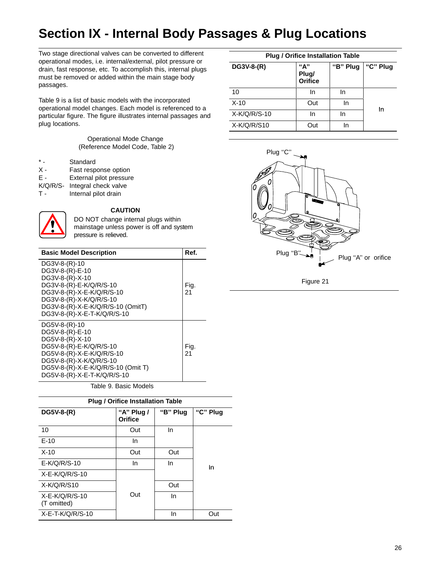## **Section IX - Internal Body Passages & Plug Locations**

Two stage directional valves can be converted to different operational modes, i.e. internal/external, pilot pressure or drain, fast response, etc. To accomplish this, internal plugs must be removed or added within the main stage body passages.

Table 9 is a list of basic models with the incorporated operational model changes. Each model is referenced to a particular figure. The figure illustrates internal passages and plug locations.

> Operational Mode Change (Reference Model Code, Table 2)

|            | Standard                |  |  |
|------------|-------------------------|--|--|
| $x -$      | Fast response option    |  |  |
| Ε.         | External pilot pressure |  |  |
| $K/Q/R/S-$ | Integral check valve    |  |  |
| т.         | Internal pilot drain    |  |  |
|            |                         |  |  |



### **CAUTION**

DO NOT change internal plugs within mainstage unless power is off and system pressure is relieved.

| <b>Basic Model Description</b>                                                                                                                                                                              | Ref.       |
|-------------------------------------------------------------------------------------------------------------------------------------------------------------------------------------------------------------|------------|
| DG3V-8-(R)-10<br>DG3V-8-(R)-E-10<br>DG3V-8-(R)-X-10<br>DG3V-8-(R)-E-K/Q/R/S-10<br>DG3V-8-(R)-X-E-K/Q/R/S-10<br>DG3V-8-(R)-X-K/Q/R/S-10<br>DG3V-8-(R)-X-E-K/Q/R/S-10 (OmitT)<br>DG3V-8-(R)-X-E-T-K/Q/R/S-10  | Fig.<br>21 |
| DG5V-8-(R)-10<br>DG5V-8-(R)-E-10<br>DG5V-8-(R)-X-10<br>DG5V-8-(R)-E-K/Q/R/S-10<br>DG5V-8-(R)-X-E-K/Q/R/S-10<br>DG5V-8-(R)-X-K/Q/R/S-10<br>DG5V-8-(R)-X-E-K/Q/R/S-10 (Omit T)<br>DG5V-8-(R)-X-E-T-K/Q/R/S-10 | Fig.<br>21 |

### Table 9. Basic Models

| <b>Plug / Orifice Installation Table</b> |                              |          |          |  |  |
|------------------------------------------|------------------------------|----------|----------|--|--|
| DG5V-8-(R)                               | "A" Plug $\prime$<br>Orifice | "B" Plug | "C" Plug |  |  |
| 10                                       | Out                          | In       |          |  |  |
| $F-10$                                   | In                           |          |          |  |  |
| $X-10$                                   | Out                          | Out      |          |  |  |
| $E-K/Q/R/S-10$                           | In                           | In       | In       |  |  |
| $X-E-K/Q/R/S-10$                         |                              |          |          |  |  |
| $X-K/Q/R/S10$                            |                              | Out      |          |  |  |
| $X-E-K/Q/R/S-10$<br>(T omitted)          | Out                          | In       |          |  |  |
| $X-E-T-K/Q/R/S-10$                       |                              | In       | Out      |  |  |

| <b>Plug / Orifice Installation Table</b> |                         |          |          |  |  |
|------------------------------------------|-------------------------|----------|----------|--|--|
| DG3V-8-(R)                               | "А"<br>Plug/<br>Orifice | "B" Plug | "C" Plug |  |  |
| 10                                       | In                      | In       |          |  |  |
| $X-10$                                   | Out                     | In       | In       |  |  |
| $X-K/Q/R/S-10$                           | In                      | In       |          |  |  |
| $X-K/Q/R/S10$                            | Out                     | In       |          |  |  |



Figure 21